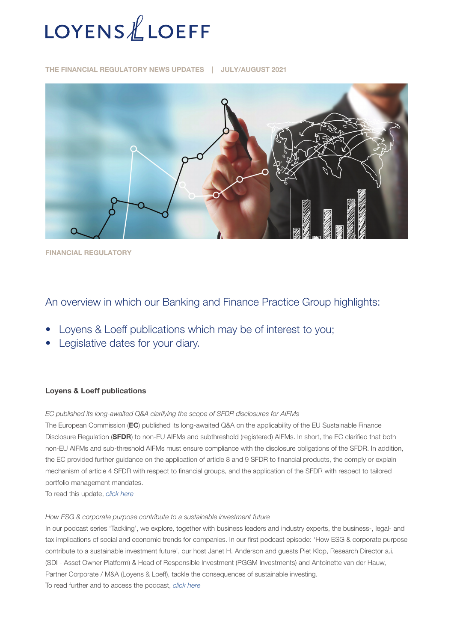

THE FINANCIAL REGULATORY NEWS UPDATES | JULY/AUGUST 2021



FINANCIAL REGULATORY

# An overview in which our Banking and Finance Practice Group highlights:

- Loyens & Loeff publications which may be of interest to you;
- Legislative dates for your diary.

## Loyens & Loeff publications

*EC published its long-awaited Q&A clarifying the scope of SFDR disclosures for AIFMs* 

The European Commission (EC) published its long-awaited Q&A on the applicability of the EU Sustainable Finance Disclosure Regulation (SFDR) to non-EU AIFMs and subthreshold (registered) AIFMs. In short, the EC clarified that both non-EU AIFMs and sub-threshold AIFMs must ensure compliance with the disclosure obligations of the SFDR. In addition, the EC provided further guidance on the application of article 8 and 9 SFDR to financial products, the comply or explain mechanism of article 4 SFDR with respect to financial groups, and the application of the SFDR with respect to tailored portfolio management mandates.

To read this update, *[click here](https://www.loyensloeff.com/en/en/news/news-articles/ec-published-its-long-awaited-q-a-clarifying-the-scope-of-sfdr-disclosures-for-aifms-n23261/?utm_medium=email&utm_source=newsletter&utm_campaign=ec_qa_sfdr_12082021_en_en#msdynttrid=LHTWdo_bcFbWeNJNDJF-yFBXMZxDpqUop_1AKYbziS0)*

#### *How ESG & corporate purpose contribute to a sustainable investment future*

In our podcast series 'Tackling', we explore, together with business leaders and industry experts, the business-, legal- and tax implications of social and economic trends for companies. In our first podcast episode: 'How ESG & corporate purpose contribute to a sustainable investment future', our host Janet H. Anderson and guests Piet Klop, Research Director a.i. (SDI - Asset Owner Platform) & Head of Responsible Investment (PGGM Investments) and Antoinette van der Hauw, Partner Corporate / M&A (Loyens & Loeff), tackle the consequences of sustainable investing. To read further and to access the podcast, *[click here](https://www.loyensloeff.com/en/en/news/news-articles/newsdetail/?id=23208)*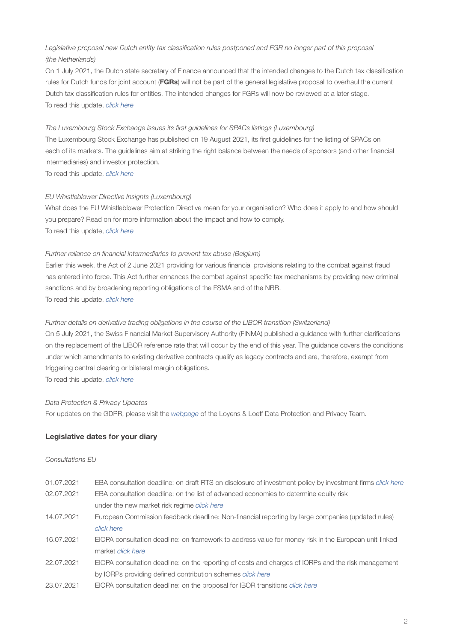# Legislative proposal new Dutch entity tax classification rules postponed and FGR no longer part of this proposal *(the Netherlands)*

On 1 July 2021, the Dutch state secretary of Finance announced that the intended changes to the Dutch tax classification rules for Dutch funds for joint account (FGRs) will not be part of the general legislative proposal to overhaul the current Dutch tax classification rules for entities. The intended changes for FGRs will now be reviewed at a later stage. To read this update, *[click here](https://www.loyensloeff.com/en/en/news/news-articles/legislative-proposal-new-dutch-entity-tax-classification-rules-postponed-and-fgr-no-longer-part-of-this-proposal-n23037/)*

#### *The Luxembourg Stock Exchange issues its first guidelines for SPACs listings (Luxembourg)*

The Luxembourg Stock Exchange has published on 19 August 2021, its first guidelines for the listing of SPACs on each of its markets. The guidelines aim at striking the right balance between the needs of sponsors (and other financial intermediaries) and investor protection.

To read this update, *[click here](https://www.loyensloeff.com/lu/en/news/articles-and-newsflashes/the-luxembourg-stock-exchange-issues-its-first-guidelines-for-spacs-listings-n23265/?utm_medium=email&utm_source=newsletter&utm_campaign=luxse_spacs_listings_guidelines_16082021_lu_en)*

## *EU Whistleblower Directive Insights (Luxembourg)*

What does the EU Whistleblower Protection Directive mean for your organisation? Who does it apply to and how should you prepare? Read on for more information about the impact and how to comply. To read this update, *[click here](https://www.loyensloeff.com/en/en/news/news-articles/eu-whistleblower-directive-insights-n23333/)*

### *Further reliance on financial intermediaries to prevent tax abuse (Belgium)*

Earlier this week, the Act of 2 June 2021 providing for various financial provisions relating to the combat against fraud has entered into force. This Act further enhances the combat against specific tax mechanisms by providing new criminal sanctions and by broadening reporting obligations of the FSMA and of the NBB. To read this update, *[click here](https://www.loyensloeff.com/be/en/news/articles-and-newsflashes/further-reliance-on-financial-intermediaries-to-prevent-tax-abuse-n23046/)*

#### *Further details on derivative trading obligations in the course of the LIBOR transition (Switzerland)*

On 5 July 2021, the Swiss Financial Market Supervisory Authority (FINMA) published a guidance with further clarifications on the replacement of the LIBOR reference rate that will occur by the end of this year. The guidance covers the conditions under which amendments to existing derivative contracts qualify as legacy contracts and are, therefore, exempt from triggering central clearing or bilateral margin obligations.

To read this update, *[click here](https://www.loyensloeff.com/ch/en/news/further-details-on-derivative-trading-obligations-in-the-course-of-the-libor-transition-n23098/)*

#### *Data Protection & Privacy Updates*

For updates on the GDPR, please visit the *[webpage](https://www.loyensloeff.com/en/en/expertise/topics/data-protection-privacy/)* of the Loyens & Loeff Data Protection and Privacy Team.

## Legislative dates for your diary

#### *Consultations EU*

| 01.07.2021 | EBA consultation deadline: on draft RTS on disclosure of investment policy by investment firms <i>click here</i> |
|------------|------------------------------------------------------------------------------------------------------------------|
| 02.07.2021 | EBA consultation deadline: on the list of advanced economies to determine equity risk                            |
|            | under the new market risk regime click here                                                                      |
| 14.07.2021 | European Commission feedback deadline: Non-financial reporting by large companies (updated rules)                |
|            | click here                                                                                                       |
| 16.07.2021 | EIOPA consultation deadline: on framework to address value for money risk in the European unit-linked            |
|            | market <i>click</i> here                                                                                         |
| 22.07.2021 | EIOPA consultation deadline: on the reporting of costs and charges of IORPs and the risk management              |
|            | by IORPs providing defined contribution schemes click here                                                       |
| 23.07.2021 | EIOPA consultation deadline: on the proposal for IBOR transitions <i>click here</i>                              |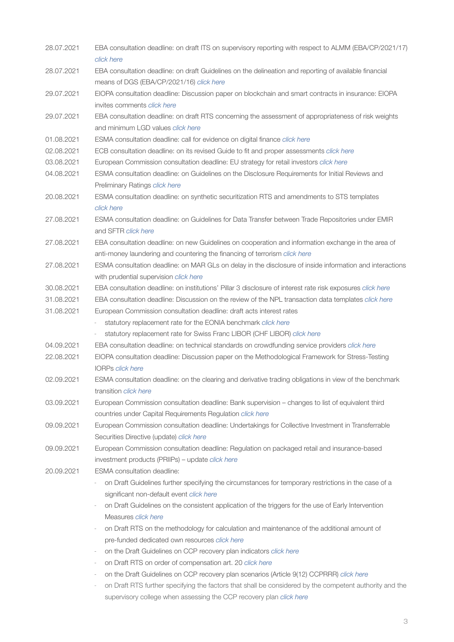| 28.07.2021 | EBA consultation deadline: on draft ITS on supervisory reporting with respect to ALMM (EBA/CP/2021/17)      |
|------------|-------------------------------------------------------------------------------------------------------------|
|            | click here                                                                                                  |
| 28.07.2021 | EBA consultation deadline: on draft Guidelines on the delineation and reporting of available financial      |
|            | means of DGS (EBA/CP/2021/16) click here                                                                    |
| 29.07.2021 | EIOPA consultation deadline: Discussion paper on blockchain and smart contracts in insurance: EIOPA         |
|            | invites comments click here                                                                                 |
| 29.07.2021 | EBA consultation deadline: on draft RTS concerning the assessment of appropriateness of risk weights        |
|            | and minimum LGD values click here                                                                           |
| 01.08.2021 | ESMA consultation deadline: call for evidence on digital finance click here                                 |
| 02.08.2021 | ECB consultation deadline: on its revised Guide to fit and proper assessments click here                    |
| 03.08.2021 | European Commission consultation deadline: EU strategy for retail investors click here                      |
| 04.08.2021 | ESMA consultation deadline: on Guidelines on the Disclosure Requirements for Initial Reviews and            |
|            | Preliminary Ratings click here                                                                              |
| 20.08.2021 | ESMA consultation deadline: on synthetic securitization RTS and amendments to STS templates                 |
|            | click here                                                                                                  |
| 27.08.2021 | ESMA consultation deadline: on Guidelines for Data Transfer between Trade Repositories under EMIR           |
|            | and SFTR click here                                                                                         |
| 27.08.2021 | EBA consultation deadline: on new Guidelines on cooperation and information exchange in the area of         |
|            | anti-money laundering and countering the financing of terrorism click here                                  |
| 27.08.2021 | ESMA consultation deadline: on MAR GLs on delay in the disclosure of inside information and interactions    |
|            | with prudential supervision click here                                                                      |
| 30.08.2021 | EBA consultation deadline: on institutions' Pillar 3 disclosure of interest rate risk exposures click here  |
| 31.08.2021 | EBA consultation deadline: Discussion on the review of the NPL transaction data templates <i>click here</i> |
| 31.08.2021 | European Commission consultation deadline: draft acts interest rates                                        |
|            | statutory replacement rate for the EONIA benchmark click here                                               |
|            | statutory replacement rate for Swiss Franc LIBOR (CHF LIBOR) click here<br>$\overline{\phantom{a}}$         |
| 04.09.2021 | EBA consultation deadline: on technical standards on crowdfunding service providers click here              |
| 22.08.2021 | EIOPA consultation deadline: Discussion paper on the Methodological Framework for Stress-Testing            |
|            | <b>IORPs click here</b>                                                                                     |
| 02.09.2021 | ESMA consultation deadline: on the clearing and derivative trading obligations in view of the benchmark     |
|            | transition click here                                                                                       |
| 03.09.2021 | European Commission consultation deadline: Bank supervision – changes to list of equivalent third           |
|            | countries under Capital Requirements Regulation click here                                                  |
| 09.09.2021 | European Commission consultation deadline: Undertakings for Collective Investment in Transferrable          |
|            | Securities Directive (update) click here                                                                    |
| 09.09.2021 | European Commission consultation deadline: Regulation on packaged retail and insurance-based                |
|            | investment products (PRIIPs) - update click here                                                            |
| 20.09.2021 | <b>ESMA</b> consultation deadline:                                                                          |
|            | on Draft Guidelines further specifying the circumstances for temporary restrictions in the case of a        |
|            | significant non-default event click here                                                                    |
|            | on Draft Guidelines on the consistent application of the triggers for the use of Early Intervention         |
|            | Measures click here                                                                                         |
|            | on Draft RTS on the methodology for calculation and maintenance of the additional amount of<br>÷,           |
|            | pre-funded dedicated own resources click here                                                               |
|            | on the Draft Guidelines on CCP recovery plan indicators click here<br>$\overline{\phantom{a}}$              |
|            | on Draft RTS on order of compensation art. 20 click here<br>$\overline{\phantom{a}}$                        |
|            | on the Draft Guidelines on CCP recovery plan scenarios (Article 9(12) CCPRRR) click here                    |
|            | on Draft RTS further specifying the factors that shall be considered by the competent authority and the     |
|            | supervisory college when assessing the CCP recovery plan click here                                         |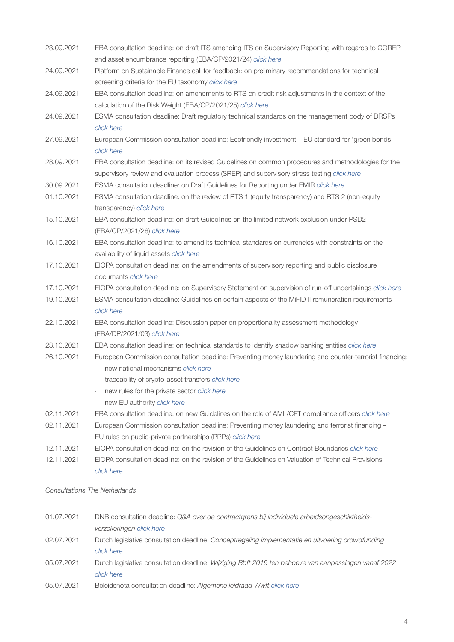| 23.09.2021 | EBA consultation deadline: on draft ITS amending ITS on Supervisory Reporting with regards to COREP                                                                                               |
|------------|---------------------------------------------------------------------------------------------------------------------------------------------------------------------------------------------------|
|            | and asset encumbrance reporting (EBA/CP/2021/24) click here                                                                                                                                       |
| 24.09.2021 | Platform on Sustainable Finance call for feedback: on preliminary recommendations for technical<br>screening criteria for the EU taxonomy click here                                              |
| 24.09.2021 | EBA consultation deadline: on amendments to RTS on credit risk adjustments in the context of the<br>calculation of the Risk Weight (EBA/CP/2021/25) click here                                    |
| 24.09.2021 | ESMA consultation deadline: Draft regulatory technical standards on the management body of DRSPs<br>click here                                                                                    |
| 27.09.2021 | European Commission consultation deadline: Ecofriendly investment - EU standard for 'green bonds'<br>click here                                                                                   |
| 28.09.2021 | EBA consultation deadline: on its revised Guidelines on common procedures and methodologies for the<br>supervisory review and evaluation process (SREP) and supervisory stress testing click here |
| 30.09.2021 | ESMA consultation deadline: on Draft Guidelines for Reporting under EMIR click here                                                                                                               |
| 01.10.2021 | ESMA consultation deadline: on the review of RTS 1 (equity transparency) and RTS 2 (non-equity<br>transparency) click here                                                                        |
| 15.10.2021 | EBA consultation deadline: on draft Guidelines on the limited network exclusion under PSD2<br>(EBA/CP/2021/28) click here                                                                         |
| 16.10.2021 | EBA consultation deadline: to amend its technical standards on currencies with constraints on the<br>availability of liquid assets click here                                                     |
| 17.10.2021 | EIOPA consultation deadline: on the amendments of supervisory reporting and public disclosure<br>documents click here                                                                             |
| 17.10.2021 | EIOPA consultation deadline: on Supervisory Statement on supervision of run-off undertakings click here                                                                                           |
| 19.10.2021 | ESMA consultation deadline: Guidelines on certain aspects of the MiFID II remuneration requirements<br>click here                                                                                 |
| 22.10.2021 | EBA consultation deadline: Discussion paper on proportionality assessment methodology<br>(EBA/DP/2021/03) click here                                                                              |
| 23.10.2021 | EBA consultation deadline: on technical standards to identify shadow banking entities click here                                                                                                  |
| 26.10.2021 | European Commission consultation deadline: Preventing money laundering and counter-terrorist financing:<br>new national mechanisms click here                                                     |
|            | traceability of crypto-asset transfers click here<br>÷,<br>new rules for the private sector click here                                                                                            |
|            | new EU authority click here                                                                                                                                                                       |
| 02.11.2021 | EBA consultation deadline: on new Guidelines on the role of AML/CFT compliance officers click here                                                                                                |
| 02.11.2021 | European Commission consultation deadline: Preventing money laundering and terrorist financing -<br>EU rules on public-private partnerships (PPPs) click here                                     |
| 12.11.2021 | EIOPA consultation deadline: on the revision of the Guidelines on Contract Boundaries click here                                                                                                  |
| 12.11.2021 | EIOPA consultation deadline: on the revision of the Guidelines on Valuation of Technical Provisions<br>click here                                                                                 |
|            |                                                                                                                                                                                                   |

*Consultations The Netherlands*

| 01.07.2021 | DNB consultation deadline: Q&A over de contractgrens bij individuele arbeidsongeschiktheids-         |
|------------|------------------------------------------------------------------------------------------------------|
|            | verzekeringen click here                                                                             |
| 02.07.2021 | Dutch legislative consultation deadline: Conceptregeling implementatie en uitvoering crowdfunding    |
|            | click here                                                                                           |
| 05.07.2021 | Dutch legislative consultation deadline: Wijziging Bbft 2019 ten behoeve van aanpassingen vanaf 2022 |
|            | click here                                                                                           |
| 05.07.2021 | Beleidsnota consultation deadline: Algemene leidraad Wwft click here                                 |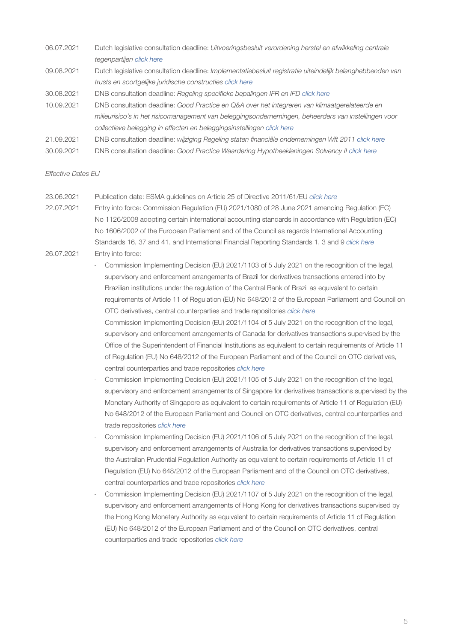- 06.07.2021 Dutch legislative consultation deadline: *Uitvoeringsbesluit verordening herstel en afwikkeling centrale tegenpartijen [click here](https://www.internetconsultatie.nl/uitvoeringsbesluitccp)*
- 09.08.2021 Dutch legislative consultation deadline: *Implementatiebesluit registratie uiteindelijk belanghebbenden van trusts en soortgelijke juridische constructies [click here](https://www.internetconsultatie.nl/ubotrustbesluit)*
- 30.08.2021 DNB consultation deadline: *Regeling specifieke bepalingen IFR en IFD [click here](https://www.dnb.nl/publicaties/publicaties-toezicht/toezicht-consultaties/dnb-consulteert-regeling-voor-beheerders-die-beleggingsdiensten-verlenen/)*
- 10.09.2021 DNB consultation deadline: *Good Practice en Q&A over het integreren van klimaatgerelateerde en milieurisico's in het risicomanagement van beleggingsondernemingen, beheerders van instellingen voor collectieve belegging in effecten en beleggingsinstellingen [click here](https://www.dnb.nl/publicaties/publicaties-toezicht/toezicht-consultaties/consultatie-integreren-klimaatgerelateerde-milieurisico-s-risicomanagement-beleggingsondernemingen-beheerders-instellingen-voor-collectieve-belegging-in-effecten-beleggingsinstellingen/)*
- 21.09.2021 DNB consultation deadline: *wijziging Regeling staten financiële ondernemingen Wft 2011 [click here](https://www.dnb.nl/publicaties/publicaties-toezicht/toezicht-consultaties/dnb-consulteert-voorgenomen-wijzigingen-regeling-staten-financiele-ondernemingen-beleggingsondernemingen-beleggingsinstellingen-beleggingsondernemingen-uit-derde-landen/)*
- 30.09.2021 DNB consultation deadline: *Good Practice Waardering Hypotheekleningen Solvency II [click here](https://www.dnb.nl/publicaties/publicaties-toezicht/toezicht-consultaties/dnb-consulteert-good-practice-waardering-hypotheekleningen-solvency-ii/)*

#### *Effective Dates EU*

- 23.06.2021 Publication date: ESMA guidelines on Article 25 of Directive 2011/61/EU *[click here](https://www.esma.europa.eu/sites/default/files/library/esma34-32-701_guidelines_on_article_25_aifmd.pdf)*
- 22.07.2021 Entry into force: Commission Regulation (EU) 2021/1080 of 28 June 2021 amending Regulation (EC) No 1126/2008 adopting certain international accounting standards in accordance with Regulation (EC) No 1606/2002 of the European Parliament and of the Council as regards International Accounting Standards 16, 37 and 41, and International Financial Reporting Standards 1, 3 and 9 *[click here](https://eur-lex.europa.eu/legal-content/EN/TXT/?uri=uriserv%3AOJ.L_.2021.234.01.0090.01.ENG&toc=OJ%3AL%3A2021%3A234%3ATOC)* 26.07.2021 Entry into force:
	- Commission Implementing Decision (EU) 2021/1103 of 5 July 2021 on the recognition of the legal, supervisory and enforcement arrangements of Brazil for derivatives transactions entered into by Brazilian institutions under the regulation of the Central Bank of Brazil as equivalent to certain requirements of Article 11 of Regulation (EU) No 648/2012 of the European Parliament and Council on OTC derivatives, central counterparties and trade repositories *[click here](https://eur-lex.europa.eu/legal-content/EN/TXT/?uri=uriserv%3AOJ.L_.2021.238.01.0084.01.ENG&toc=OJ%3AL%3A2021%3A238%3ATOC)*
	- Commission Implementing Decision (EU) 2021/1104 of 5 July 2021 on the recognition of the legal, supervisory and enforcement arrangements of Canada for derivatives transactions supervised by the Office of the Superintendent of Financial Institutions as equivalent to certain requirements of Article 11 of Regulation (EU) No 648/2012 of the European Parliament and of the Council on OTC derivatives, central counterparties and trade repositories *[click here](https://eur-lex.europa.eu/legal-content/EN/TXT/?uri=uriserv%3AOJ.L_.2021.238.01.0089.01.ENG&toc=OJ%3AL%3A2021%3A238%3ATOC)*
	- Commission Implementing Decision (EU) 2021/1105 of 5 July 2021 on the recognition of the legal, supervisory and enforcement arrangements of Singapore for derivatives transactions supervised by the Monetary Authority of Singapore as equivalent to certain requirements of Article 11 of Regulation (EU) No 648/2012 of the European Parliament and Council on OTC derivatives, central counterparties and trade repositories *[click here](https://eur-lex.europa.eu/legal-content/EN/TXT/?uri=uriserv%3AOJ.L_.2021.238.01.0094.01.ENG&toc=OJ%3AL%3A2021%3A238%3ATOC)*
	- Commission Implementing Decision (EU) 2021/1106 of 5 July 2021 on the recognition of the legal, supervisory and enforcement arrangements of Australia for derivatives transactions supervised by the Australian Prudential Regulation Authority as equivalent to certain requirements of Article 11 of Regulation (EU) No 648/2012 of the European Parliament and of the Council on OTC derivatives, central counterparties and trade repositories *[click here](https://eur-lex.europa.eu/legal-content/EN/TXT/?uri=uriserv%3AOJ.L_.2021.238.01.0099.01.ENG&toc=OJ%3AL%3A2021%3A238%3ATOC)*
	- Commission Implementing Decision (EU) 2021/1107 of 5 July 2021 on the recognition of the legal, supervisory and enforcement arrangements of Hong Kong for derivatives transactions supervised by the Hong Kong Monetary Authority as equivalent to certain requirements of Article 11 of Regulation (EU) No 648/2012 of the European Parliament and of the Council on OTC derivatives, central counterparties and trade repositories *[click here](https://eur-lex.europa.eu/legal-content/EN/TXT/?uri=uriserv%3AOJ.L_.2021.238.01.0104.01.ENG&toc=OJ%3AL%3A2021%3A238%3ATOC)*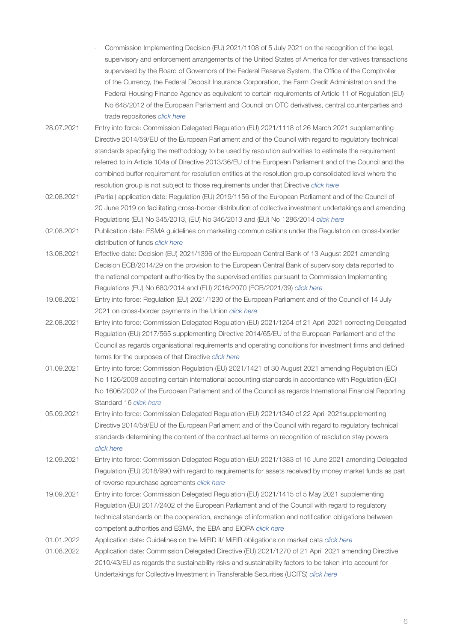- Commission Implementing Decision (EU) 2021/1108 of 5 July 2021 on the recognition of the legal, supervisory and enforcement arrangements of the United States of America for derivatives transactions supervised by the Board of Governors of the Federal Reserve System, the Office of the Comptroller of the Currency, the Federal Deposit Insurance Corporation, the Farm Credit Administration and the Federal Housing Finance Agency as equivalent to certain requirements of Article 11 of Regulation (EU) No 648/2012 of the European Parliament and Council on OTC derivatives, central counterparties and trade repositories *[click here](https://eur-lex.europa.eu/legal-content/EN/TXT/?uri=uriserv%3AOJ.L_.2021.238.01.0109.01.ENG&toc=OJ%3AL%3A2021%3A238%3ATOC)*
- 28.07.2021 Entry into force: Commission Delegated Regulation (EU) 2021/1118 of 26 March 2021 supplementing Directive 2014/59/EU of the European Parliament and of the Council with regard to regulatory technical standards specifying the methodology to be used by resolution authorities to estimate the requirement referred to in Article 104a of Directive 2013/36/EU of the European Parliament and of the Council and the combined buffer requirement for resolution entities at the resolution group consolidated level where the resolution group is not subject to those requirements under that Directive *[click here](https://eur-lex.europa.eu/legal-content/EN/TXT/?uri=uriserv%3AOJ.L_.2021.241.01.0001.01.ENG&toc=OJ%3AL%3A2021%3A241%3ATOC)*
- 02.08.2021 (Partial) application date: Regulation (EU) 2019/1156 of the European Parliament and of the Council of 20 June 2019 on facilitating cross-border distribution of collective investment undertakings and amending Regulations (EU) No 345/2013, (EU) No 346/2013 and (EU) No 1286/2014 *[click here](https://eur-lex.europa.eu/legal-content/EN/TXT/?uri=CELEX%3A32019R1156&qid=1616506628055)*
- 02.08.2021 Publication date: ESMA guidelines on marketing communications under the Regulation on cross-border distribution of funds *[click here](https://www.esma.europa.eu/sites/default/files/library/esma34-45-1272_guidelines_on_marketing_communications.pdf)*
- 13.08.2021 Effective date: Decision (EU) 2021/1396 of the European Central Bank of 13 August 2021 amending Decision ECB/2014/29 on the provision to the European Central Bank of supervisory data reported to the national competent authorities by the supervised entities pursuant to Commission Implementing Regulations (EU) No 680/2014 and (EU) 2016/2070 (ECB/2021/39) *[click here](https://eur-lex.europa.eu/legal-content/EN/TXT/?uri=uriserv:OJ.L_.2021.300.01.0074.01.ENG)*
- 19.08.2021 Entry into force: Regulation (EU) 2021/1230 of the European Parliament and of the Council of 14 July 2021 on cross-border payments in the Union *[click here](https://eur-lex.europa.eu/legal-content/EN/TXT/?uri=uriserv%3AOJ.L_.2021.274.01.0020.01.ENG&toc=OJ%3AL%3A2021%3A274%3ATOC)*
- 22.08.2021 Entry into force: Commission Delegated Regulation (EU) 2021/1254 of 21 April 2021 correcting Delegated Regulation (EU) 2017/565 supplementing Directive 2014/65/EU of the European Parliament and of the Council as regards organisational requirements and operating conditions for investment firms and defined terms for the purposes of that Directive *[click here](https://eur-lex.europa.eu/legal-content/EN/TXT/?uri=uriserv%3AOJ.L_.2021.277.01.0006.01.ENG&toc=OJ%3AL%3A2021%3A277%3ATOC)*
- 01.09.2021 Entry into force: Commission Regulation (EU) 2021/1421 of 30 August 2021 amending Regulation (EC) No 1126/2008 adopting certain international accounting standards in accordance with Regulation (EC) No 1606/2002 of the European Parliament and of the Council as regards International Financial Reporting Standard 16 *[click here](https://eur-lex.europa.eu/legal-content/EN/TXT/?uri=uriserv:OJ.L_.2021.305.01.0017.01.ENG)*
- 05.09.2021 Entry into force: Commission Delegated Regulation (EU) 2021/1340 of 22 April 2021supplementing Directive 2014/59/EU of the European Parliament and of the Council with regard to regulatory technical standards determining the content of the contractual terms on recognition of resolution stay powers *[click here](https://eur-lex.europa.eu/legal-content/EN/TXT/?uri=uriserv%3AOJ.L_.2021.292.01.0001.01.ENG&toc=OJ%3AL%3A2021%3A292%3ATOC)*
- 12.09.2021 Entry into force: Commission Delegated Regulation (EU) 2021/1383 of 15 June 2021 amending Delegated Regulation (EU) 2018/990 with regard to requirements for assets received by money market funds as part of reverse repurchase agreements *[click here](https://eur-lex.europa.eu/legal-content/EN/ALL/?uri=uriserv:OJ.L_.2021.298.01.0001.01.ENG)*
- 19.09.2021 Entry into force: Commission Delegated Regulation (EU) 2021/1415 of 5 May 2021 supplementing Regulation (EU) 2017/2402 of the European Parliament and of the Council with regard to regulatory technical standards on the cooperation, exchange of information and notification obligations between competent authorities and ESMA, the EBA and EIOPA *[click here](https://eur-lex.europa.eu/legal-content/EN/TXT/?uri=uriserv:OJ.LI.2021.304.01.0001.01.ENG)*
- 01.01.2022 Application date: Guidelines on the MiFID II/ MiFIR obligations on market data *[click here](https://www.esma.europa.eu/sites/default/files/library/esma70-156-4263_guidelines_mifid_ii_mifir_obligations_on_market_data.pdf)*
- 01.08.2022 Application date: Commission Delegated Directive (EU) 2021/1270 of 21 April 2021 amending Directive 2010/43/EU as regards the sustainability risks and sustainability factors to be taken into account for Undertakings for Collective Investment in Transferable Securities (UCITS) *[click here](https://eur-lex.europa.eu/legal-content/EN/TXT/?uri=uriserv%3AOJ.L_.2021.277.01.0141.01.ENG&toc=OJ%3AL%3A2021%3A277%3ATOC)*